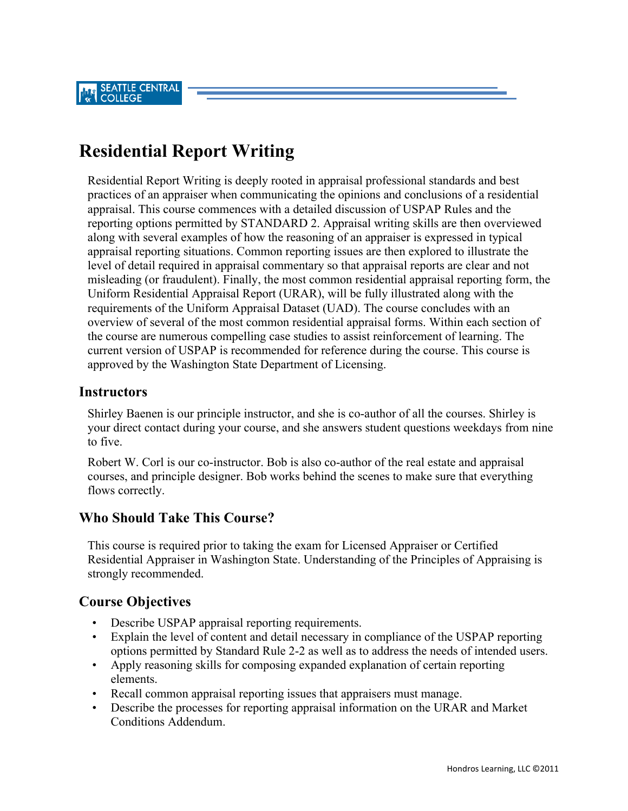# **Residential Report Writing**

Residential Report Writing is deeply rooted in appraisal professional standards and best practices of an appraiser when communicating the opinions and conclusions of a residential appraisal. This course commences with a detailed discussion of USPAP Rules and the reporting options permitted by STANDARD 2. Appraisal writing skills are then overviewed along with several examples of how the reasoning of an appraiser is expressed in typical appraisal reporting situations. Common reporting issues are then explored to illustrate the level of detail required in appraisal commentary so that appraisal reports are clear and not misleading (or fraudulent). Finally, the most common residential appraisal reporting form, the Uniform Residential Appraisal Report (URAR), will be fully illustrated along with the requirements of the Uniform Appraisal Dataset (UAD). The course concludes with an overview of several of the most common residential appraisal forms. Within each section of the course are numerous compelling case studies to assist reinforcement of learning. The current version of USPAP is recommended for reference during the course. This course is approved by the Washington State Department of Licensing.

#### **Instructors**

Shirley Baenen is our principle instructor, and she is co-author of all the courses. Shirley is your direct contact during your course, and she answers student questions weekdays from nine to five.

Robert W. Corl is our co-instructor. Bob is also co-author of the real estate and appraisal courses, and principle designer. Bob works behind the scenes to make sure that everything flows correctly.

## **Who Should Take This Course?**

This course is required prior to taking the exam for Licensed Appraiser or Certified Residential Appraiser in Washington State. Understanding of the Principles of Appraising is strongly recommended.

## **Course Objectives**

- Describe USPAP appraisal reporting requirements.
- Explain the level of content and detail necessary in compliance of the USPAP reporting options permitted by Standard Rule 2-2 as well as to address the needs of intended users.
- Apply reasoning skills for composing expanded explanation of certain reporting elements.
- Recall common appraisal reporting issues that appraisers must manage.
- Describe the processes for reporting appraisal information on the URAR and Market Conditions Addendum.